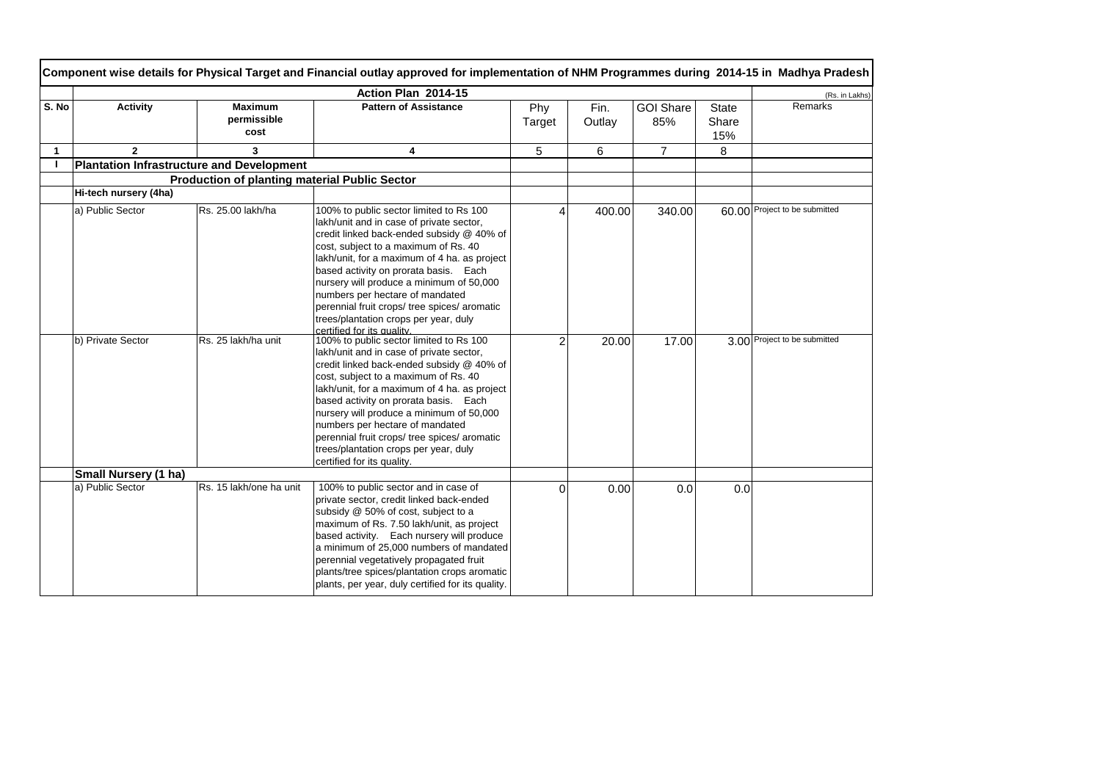|       | Component wise details for Physical Target and Financial outlay approved for implementation of NHM Programmes during 2014-15 in Madhya Pradesh |                                                      |                                                                                                                                                                                                                                                                                                                                                                                                                                                                         |                |                |                         |                              |                               |  |  |
|-------|------------------------------------------------------------------------------------------------------------------------------------------------|------------------------------------------------------|-------------------------------------------------------------------------------------------------------------------------------------------------------------------------------------------------------------------------------------------------------------------------------------------------------------------------------------------------------------------------------------------------------------------------------------------------------------------------|----------------|----------------|-------------------------|------------------------------|-------------------------------|--|--|
|       | Action Plan 2014-15                                                                                                                            |                                                      |                                                                                                                                                                                                                                                                                                                                                                                                                                                                         |                |                |                         |                              |                               |  |  |
| S. No | <b>Activity</b>                                                                                                                                | <b>Maximum</b><br>permissible<br>cost                | <b>Pattern of Assistance</b>                                                                                                                                                                                                                                                                                                                                                                                                                                            | Phy<br>Target  | Fin.<br>Outlay | <b>GOI Share</b><br>85% | <b>State</b><br>Share<br>15% | (Rs. in Lakhs)<br>Remarks     |  |  |
| 1     | $\overline{2}$                                                                                                                                 | 3                                                    | 4                                                                                                                                                                                                                                                                                                                                                                                                                                                                       | 5              | 6              | $\overline{7}$          | 8                            |                               |  |  |
|       | <b>Plantation Infrastructure and Development</b>                                                                                               |                                                      |                                                                                                                                                                                                                                                                                                                                                                                                                                                                         |                |                |                         |                              |                               |  |  |
|       |                                                                                                                                                | <b>Production of planting material Public Sector</b> |                                                                                                                                                                                                                                                                                                                                                                                                                                                                         |                |                |                         |                              |                               |  |  |
|       | Hi-tech nursery (4ha)                                                                                                                          |                                                      |                                                                                                                                                                                                                                                                                                                                                                                                                                                                         |                |                |                         |                              |                               |  |  |
|       | a) Public Sector                                                                                                                               | Rs. 25.00 lakh/ha                                    | 100% to public sector limited to Rs 100<br>lakh/unit and in case of private sector,<br>credit linked back-ended subsidy @ 40% of<br>cost, subject to a maximum of Rs. 40<br>lakh/unit, for a maximum of 4 ha. as project<br>based activity on prorata basis. Each<br>nursery will produce a minimum of 50,000<br>numbers per hectare of mandated<br>perennial fruit crops/ tree spices/ aromatic<br>trees/plantation crops per year, duly<br>certified for its quality. |                | 400.00         | 340.00                  |                              | 60.00 Project to be submitted |  |  |
|       | b) Private Sector                                                                                                                              | Rs. 25 lakh/ha unit                                  | 100% to public sector limited to Rs 100<br>lakh/unit and in case of private sector,<br>credit linked back-ended subsidy @ 40% of<br>cost, subject to a maximum of Rs. 40<br>lakh/unit, for a maximum of 4 ha. as project<br>based activity on prorata basis. Each<br>nursery will produce a minimum of 50,000<br>numbers per hectare of mandated<br>perennial fruit crops/ tree spices/ aromatic<br>trees/plantation crops per year, duly<br>certified for its quality. | $\mathfrak{p}$ | 20.00          | 17.00                   |                              | 3.00 Project to be submitted  |  |  |
|       | Small Nursery (1 ha)                                                                                                                           |                                                      |                                                                                                                                                                                                                                                                                                                                                                                                                                                                         |                |                |                         |                              |                               |  |  |
|       | a) Public Sector                                                                                                                               | Rs. 15 lakh/one ha unit                              | 100% to public sector and in case of<br>private sector, credit linked back-ended<br>subsidy @ 50% of cost, subject to a<br>maximum of Rs. 7.50 lakh/unit, as project<br>based activity. Each nursery will produce<br>a minimum of 25,000 numbers of mandated<br>perennial vegetatively propagated fruit<br>plants/tree spices/plantation crops aromatic<br>plants, per year, duly certified for its quality.                                                            | $\Omega$       | 0.00           | 0.0                     | 0.0                          |                               |  |  |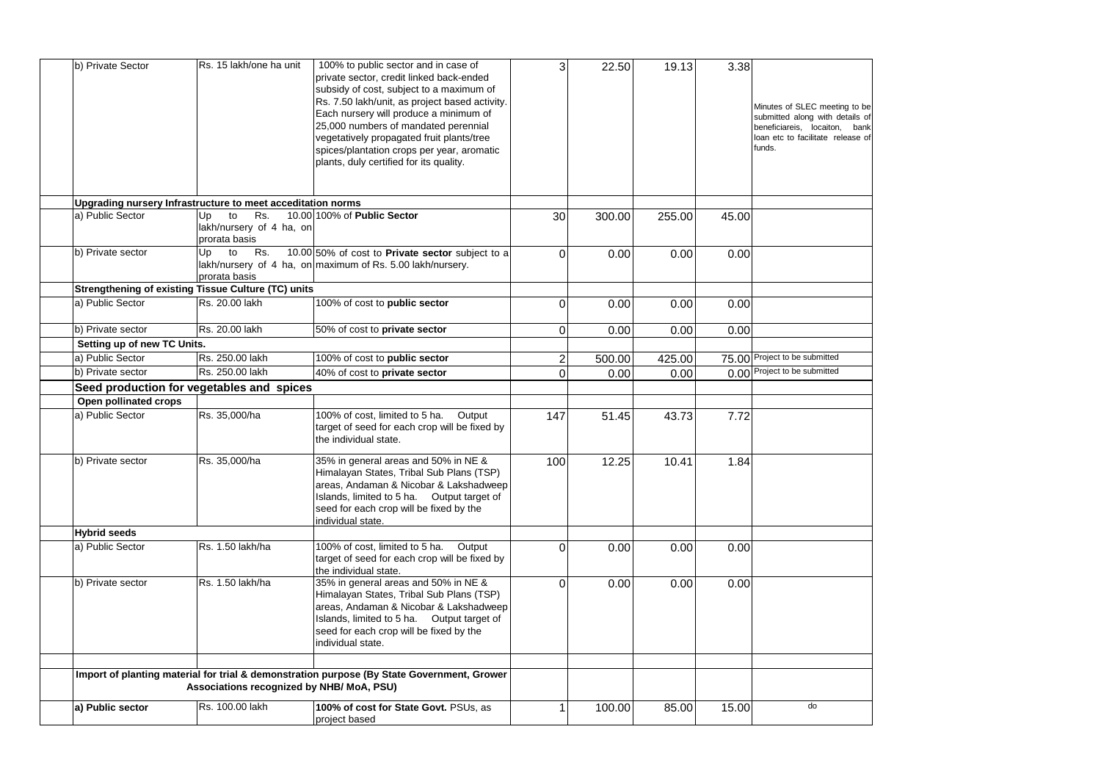| b) Private Sector<br>100% to public sector and in case of<br>Rs. 15 lakh/one ha unit<br>3<br>22.50<br>19.13<br>private sector, credit linked back-ended<br>subsidy of cost, subject to a maximum of<br>Rs. 7.50 lakh/unit, as project based activity.                                                               | 3.38<br>Minutes of SLEC meeting to be                                                                           |
|---------------------------------------------------------------------------------------------------------------------------------------------------------------------------------------------------------------------------------------------------------------------------------------------------------------------|-----------------------------------------------------------------------------------------------------------------|
| Each nursery will produce a minimum of<br>25,000 numbers of mandated perennial<br>vegetatively propagated fruit plants/tree<br>spices/plantation crops per year, aromatic<br>plants, duly certified for its quality.                                                                                                | submitted along with details of<br>beneficiareis, locaiton, bank<br>loan etc to facilitate release of<br>funds. |
| Upgrading nursery Infrastructure to meet acceditation norms                                                                                                                                                                                                                                                         |                                                                                                                 |
| a) Public Sector<br>to<br>Rs.<br>10.00 100% of Public Sector<br>Up<br>30<br>300.00<br>255.00<br>45.00<br>lakh/nursery of 4 ha, on<br>prorata basis                                                                                                                                                                  |                                                                                                                 |
| to<br>Rs.<br>10.00 50% of cost to Private sector subject to a<br>b) Private sector<br>Jp<br>0<br>0.00<br>0.00<br>lakh/nursery of 4 ha, on maximum of Rs. 5.00 lakh/nursery.<br>prorata basis                                                                                                                        | 0.00                                                                                                            |
| Strengthening of existing Tissue Culture (TC) units                                                                                                                                                                                                                                                                 |                                                                                                                 |
| a) Public Sector<br>Rs. 20.00 lakh<br>0<br>100% of cost to public sector<br>0.00<br>0.00                                                                                                                                                                                                                            | 0.00                                                                                                            |
| Rs. 20.00 lakh<br>b) Private sector<br>50% of cost to private sector<br>0<br>0.00<br>0.00                                                                                                                                                                                                                           | 0.00                                                                                                            |
| Setting up of new TC Units.                                                                                                                                                                                                                                                                                         |                                                                                                                 |
| a) Public Sector<br>Rs. 250.00 lakh<br>100% of cost to public sector<br>$\overline{\mathbf{c}}$<br>425.00<br>500.00                                                                                                                                                                                                 | 75.00 Project to be submitted                                                                                   |
| Rs. 250.00 lakh<br>b) Private sector<br>40% of cost to private sector<br>0<br>0.00<br>0.00                                                                                                                                                                                                                          | 0.00 Project to be submitted                                                                                    |
| Seed production for vegetables and spices                                                                                                                                                                                                                                                                           |                                                                                                                 |
| Open pollinated crops                                                                                                                                                                                                                                                                                               |                                                                                                                 |
| a) Public Sector<br>Rs. 35,000/ha<br>100% of cost, limited to 5 ha.<br>Output<br>147<br>51.45<br>43.73<br>target of seed for each crop will be fixed by<br>the individual state.                                                                                                                                    | 7.72                                                                                                            |
| b) Private sector<br>35% in general areas and 50% in NE &<br>Rs. 35,000/ha<br>100<br>12.25<br>10.41<br>Himalayan States, Tribal Sub Plans (TSP)<br>areas, Andaman & Nicobar & Lakshadweep<br>Islands, limited to 5 ha. Output target of<br>seed for each crop will be fixed by the<br>individual state.             | 1.84                                                                                                            |
| <b>Hybrid seeds</b>                                                                                                                                                                                                                                                                                                 |                                                                                                                 |
| a) Public Sector<br>Rs. 1.50 lakh/ha<br>100% of cost, limited to 5 ha.<br>Output<br>$\overline{0}$<br>0.00<br>0.00<br>target of seed for each crop will be fixed by<br>the individual state.                                                                                                                        | 0.00                                                                                                            |
| 35% in general areas and 50% in NE &<br>b) Private sector<br>Rs. 1.50 lakh/ha<br>$\overline{0}$<br>0.00<br>0.00<br>Himalayan States, Tribal Sub Plans (TSP)<br>areas, Andaman & Nicobar & Lakshadweep<br>Islands, limited to 5 ha. Output target of<br>seed for each crop will be fixed by the<br>individual state. | 0.00                                                                                                            |
|                                                                                                                                                                                                                                                                                                                     |                                                                                                                 |
| Import of planting material for trial & demonstration purpose (By State Government, Grower<br>Associations recognized by NHB/ MoA, PSU)                                                                                                                                                                             |                                                                                                                 |
| a) Public sector<br>Rs. 100.00 lakh<br>100% of cost for State Govt. PSUs, as<br>1<br>100.00<br>85.00<br>15.00<br>project based                                                                                                                                                                                      | do                                                                                                              |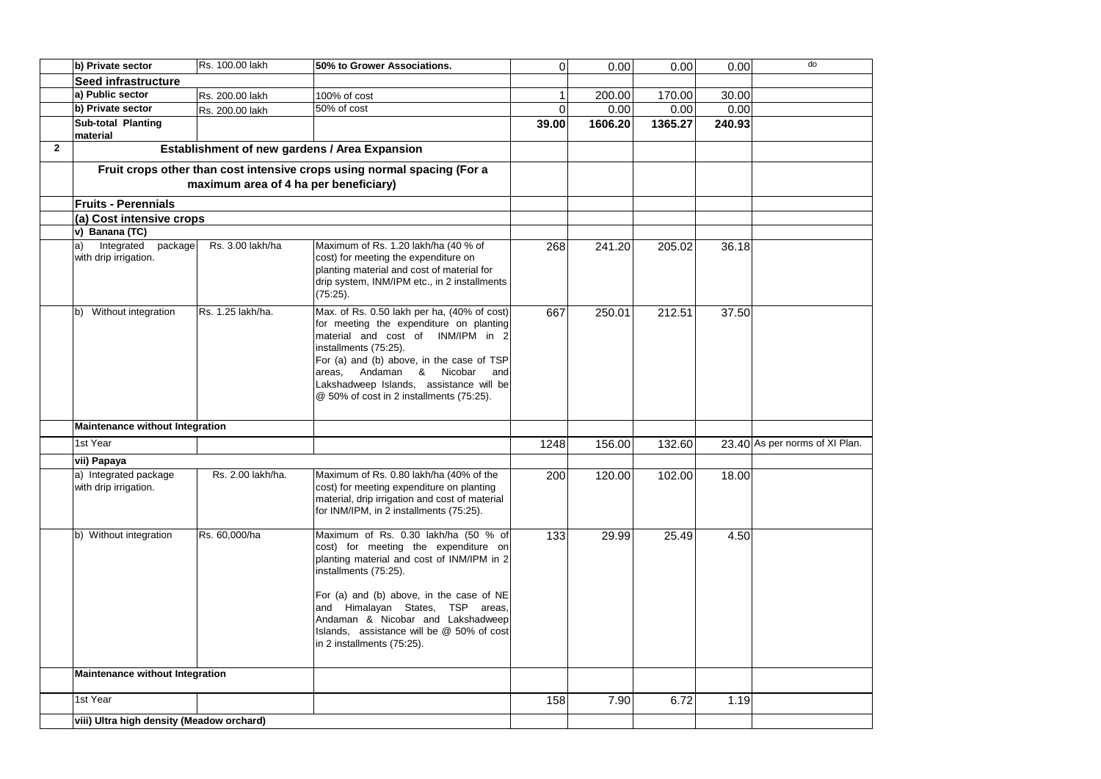|              | b) Private sector                                    | Rs. 100.00 lakh                       | 50% to Grower Associations.                                                                                                                                                                                                                                                                                                                         | $\Omega$         | 0.00    | 0.00    | 0.00   | do                             |
|--------------|------------------------------------------------------|---------------------------------------|-----------------------------------------------------------------------------------------------------------------------------------------------------------------------------------------------------------------------------------------------------------------------------------------------------------------------------------------------------|------------------|---------|---------|--------|--------------------------------|
|              | Seed infrastructure                                  |                                       |                                                                                                                                                                                                                                                                                                                                                     |                  |         |         |        |                                |
|              | a) Public sector                                     | Rs. 200.00 lakh                       | 100% of cost                                                                                                                                                                                                                                                                                                                                        |                  | 200.00  | 170.00  | 30.00  |                                |
|              | b) Private sector                                    | Rs. 200.00 lakh                       | 50% of cost                                                                                                                                                                                                                                                                                                                                         | $\Omega$         | 0.00    | 0.00    | 0.00   |                                |
|              | Sub-total Planting<br>material                       |                                       |                                                                                                                                                                                                                                                                                                                                                     | 39.00            | 1606.20 | 1365.27 | 240.93 |                                |
| $\mathbf{2}$ |                                                      |                                       | Establishment of new gardens / Area Expansion                                                                                                                                                                                                                                                                                                       |                  |         |         |        |                                |
|              |                                                      |                                       | Fruit crops other than cost intensive crops using normal spacing (For a                                                                                                                                                                                                                                                                             |                  |         |         |        |                                |
|              |                                                      | maximum area of 4 ha per beneficiary) |                                                                                                                                                                                                                                                                                                                                                     |                  |         |         |        |                                |
|              | <b>Fruits - Perennials</b>                           |                                       |                                                                                                                                                                                                                                                                                                                                                     |                  |         |         |        |                                |
|              | (a) Cost intensive crops                             |                                       |                                                                                                                                                                                                                                                                                                                                                     |                  |         |         |        |                                |
|              | v) Banana (TC)                                       |                                       |                                                                                                                                                                                                                                                                                                                                                     |                  |         |         |        |                                |
|              | Integrated<br>package<br>a)<br>with drip irrigation. | Rs. 3.00 lakh/ha                      | Maximum of Rs. 1.20 lakh/ha (40 % of<br>cost) for meeting the expenditure on<br>planting material and cost of material for<br>drip system, INM/IPM etc., in 2 installments<br>(75:25).                                                                                                                                                              | 268              | 241.20  | 205.02  | 36.18  |                                |
|              | b) Without integration                               | Rs. 1.25 lakh/ha.                     | Max. of Rs. 0.50 lakh per ha, (40% of cost)<br>for meeting the expenditure on planting<br>material and cost of INM/IPM in 2<br>installments (75:25).<br>For (a) and (b) above, in the case of TSP<br>Andaman & Nicobar<br>areas.<br>and<br>Lakshadweep Islands, assistance will be<br>@ 50% of cost in 2 installments (75:25).                      | 667              | 250.01  | 212.51  | 37.50  |                                |
|              | <b>Maintenance without Integration</b>               |                                       |                                                                                                                                                                                                                                                                                                                                                     |                  |         |         |        |                                |
|              | 1st Year                                             |                                       |                                                                                                                                                                                                                                                                                                                                                     | 1248             | 156.00  | 132.60  |        | 23.40 As per norms of XI Plan. |
|              | vii) Papaya                                          |                                       |                                                                                                                                                                                                                                                                                                                                                     |                  |         |         |        |                                |
|              | a) Integrated package<br>with drip irrigation.       | Rs. 2.00 lakh/ha.                     | Maximum of Rs. 0.80 lakh/ha (40% of the<br>cost) for meeting expenditure on planting<br>material, drip irrigation and cost of material<br>for INM/IPM, in 2 installments (75:25).                                                                                                                                                                   | 200              | 120.00  | 102.00  | 18.00  |                                |
|              | b) Without integration                               | Rs. 60,000/ha                         | Maximum of Rs. 0.30 lakh/ha (50 % of<br>cost) for meeting the expenditure on<br>planting material and cost of INM/IPM in 2<br>installments (75:25).<br>For (a) and (b) above, in the case of NE<br>and Himalayan States, TSP areas,<br>Andaman & Nicobar and Lakshadweep<br>Islands, assistance will be @ 50% of cost<br>in 2 installments (75:25). | $\overline{133}$ | 29.99   | 25.49   | 4.50   |                                |
|              | Maintenance without Integration                      |                                       |                                                                                                                                                                                                                                                                                                                                                     |                  |         |         |        |                                |
|              | 1st Year                                             |                                       |                                                                                                                                                                                                                                                                                                                                                     | 158              | 7.90    | 6.72    | 1.19   |                                |
|              | viii) Ultra high density (Meadow orchard)            |                                       |                                                                                                                                                                                                                                                                                                                                                     |                  |         |         |        |                                |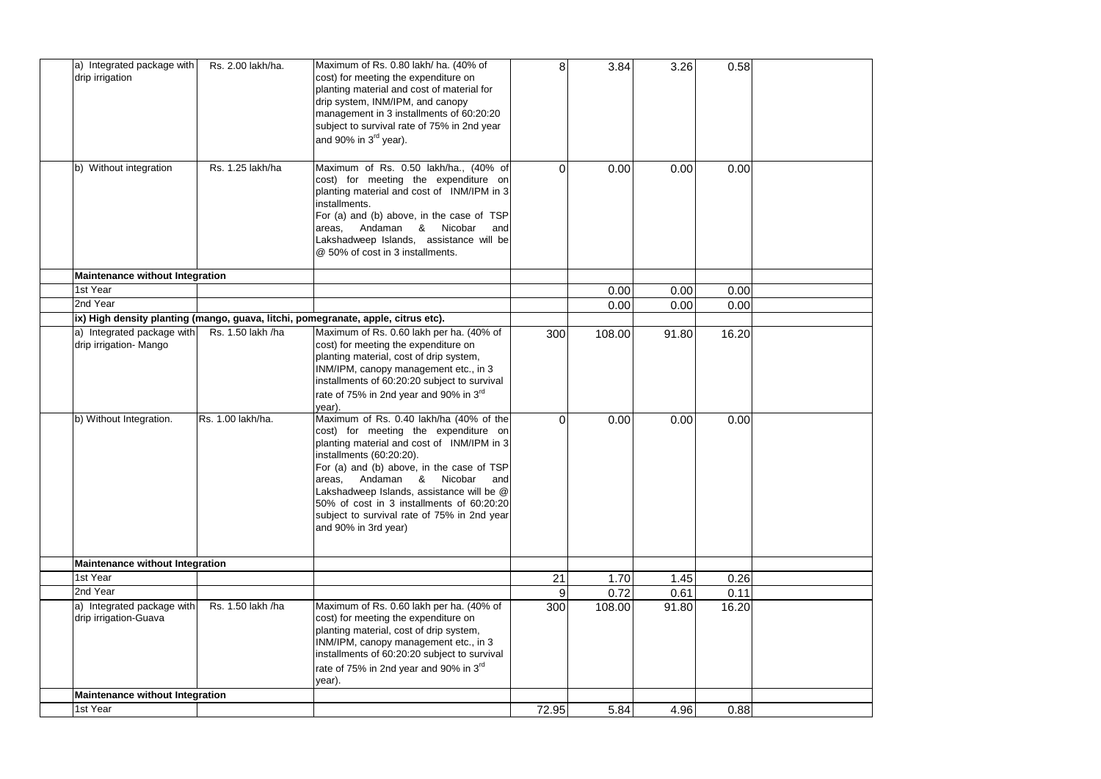| a) Integrated package with<br>drip irrigation        | Rs. 2.00 lakh/ha. | Maximum of Rs. 0.80 lakh/ ha. (40% of<br>cost) for meeting the expenditure on<br>planting material and cost of material for<br>drip system, INM/IPM, and canopy<br>management in 3 installments of 60:20:20<br>subject to survival rate of 75% in 2nd year<br>and 90% in 3rd year).                                                                                                                     | 8 <sup>1</sup> | 3.84   | 3.26  | 0.58  |  |
|------------------------------------------------------|-------------------|---------------------------------------------------------------------------------------------------------------------------------------------------------------------------------------------------------------------------------------------------------------------------------------------------------------------------------------------------------------------------------------------------------|----------------|--------|-------|-------|--|
| b) Without integration                               | Rs. 1.25 lakh/ha  | Maximum of Rs. 0.50 lakh/ha., (40% of<br>cost) for meeting the expenditure on<br>planting material and cost of INM/IPM in 3<br>installments.<br>For (a) and (b) above, in the case of TSP<br>Andaman & Nicobar<br>areas,<br>and<br>Lakshadweep Islands, assistance will be<br>@ 50% of cost in 3 installments.                                                                                          | $\Omega$       | 0.00   | 0.00  | 0.00  |  |
| Maintenance without Integration                      |                   |                                                                                                                                                                                                                                                                                                                                                                                                         |                |        |       |       |  |
| 1st Year                                             |                   |                                                                                                                                                                                                                                                                                                                                                                                                         |                | 0.00   | 0.00  | 0.00  |  |
| 2nd Year                                             |                   |                                                                                                                                                                                                                                                                                                                                                                                                         |                | 0.00   | 0.00  | 0.00  |  |
|                                                      |                   | ix) High density planting (mango, guava, litchi, pomegranate, apple, citrus etc).                                                                                                                                                                                                                                                                                                                       |                |        |       |       |  |
| a) Integrated package with<br>drip irrigation- Mango | Rs. 1.50 lakh /ha | Maximum of Rs. 0.60 lakh per ha. (40% of<br>cost) for meeting the expenditure on<br>planting material, cost of drip system,<br>INM/IPM, canopy management etc., in 3<br>installments of 60:20:20 subject to survival<br>rate of 75% in 2nd year and 90% in 3rd<br>vear).                                                                                                                                | 300            | 108.00 | 91.80 | 16.20 |  |
| b) Without Integration.                              | Rs. 1.00 lakh/ha. | Maximum of Rs. 0.40 lakh/ha (40% of the<br>cost) for meeting the expenditure on<br>planting material and cost of INM/IPM in 3<br>installments (60:20:20).<br>For (a) and (b) above, in the case of TSP<br>areas, Andaman & Nicobar and<br>Lakshadweep Islands, assistance will be @<br>50% of cost in 3 installments of 60:20:20<br>subject to survival rate of 75% in 2nd year<br>and 90% in 3rd year) | $\Omega$       | 0.00   | 0.00  | 0.00  |  |
| Maintenance without Integration                      |                   |                                                                                                                                                                                                                                                                                                                                                                                                         |                |        |       |       |  |
| 1st Year                                             |                   |                                                                                                                                                                                                                                                                                                                                                                                                         | 21             | 1.70   | 1.45  | 0.26  |  |
| 2nd Year                                             |                   |                                                                                                                                                                                                                                                                                                                                                                                                         | 9              | 0.72   | 0.61  | 0.11  |  |
| a) Integrated package with<br>drip irrigation-Guava  | Rs. 1.50 lakh /ha | Maximum of Rs. 0.60 lakh per ha. (40% of<br>cost) for meeting the expenditure on<br>planting material, cost of drip system,<br>INM/IPM, canopy management etc., in 3<br>installments of 60:20:20 subject to survival                                                                                                                                                                                    | 300            | 108.00 | 91.80 | 16.20 |  |
|                                                      |                   | rate of 75% in 2nd year and 90% in 3 <sup>rd</sup><br>year).                                                                                                                                                                                                                                                                                                                                            |                |        |       |       |  |
| Maintenance without Integration                      |                   |                                                                                                                                                                                                                                                                                                                                                                                                         |                |        |       |       |  |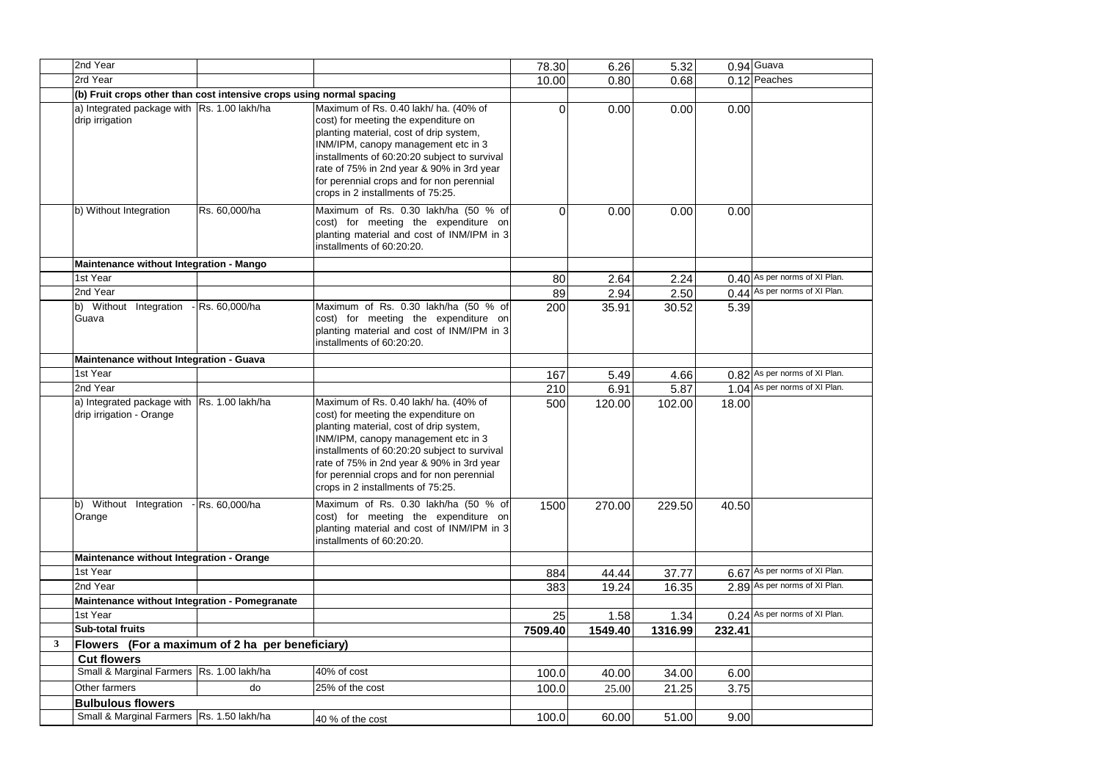|   | 2nd Year                                                             |                  |                                                                                                                                                                                                                                                                                                                                                | 78.30    | 6.26    | 5.32    |        | $0.94$ Guava                  |
|---|----------------------------------------------------------------------|------------------|------------------------------------------------------------------------------------------------------------------------------------------------------------------------------------------------------------------------------------------------------------------------------------------------------------------------------------------------|----------|---------|---------|--------|-------------------------------|
|   | 2rd Year                                                             |                  |                                                                                                                                                                                                                                                                                                                                                | 10.00    | 0.80    | 0.68    |        | 0.12 Peaches                  |
|   | (b) Fruit crops other than cost intensive crops using normal spacing |                  |                                                                                                                                                                                                                                                                                                                                                |          |         |         |        |                               |
|   | a) Integrated package with Rs. 1.00 lakh/ha<br>drip irrigation       |                  | Maximum of Rs. 0.40 lakh/ ha. (40% of<br>cost) for meeting the expenditure on<br>planting material, cost of drip system,<br>INM/IPM, canopy management etc in 3<br>installments of 60:20:20 subject to survival<br>rate of 75% in 2nd year & 90% in 3rd year<br>for perennial crops and for non perennial<br>crops in 2 installments of 75:25. | $\Omega$ | 0.00    | 0.00    | 0.00   |                               |
|   | b) Without Integration                                               | Rs. 60,000/ha    | Maximum of Rs. 0.30 lakh/ha (50 % of<br>cost) for meeting the expenditure on<br>planting material and cost of INM/IPM in 3<br>installments of 60:20:20.                                                                                                                                                                                        | $\Omega$ | 0.00    | 0.00    | 0.00   |                               |
|   | Maintenance without Integration - Mango                              |                  |                                                                                                                                                                                                                                                                                                                                                |          |         |         |        |                               |
|   | 1st Year                                                             |                  |                                                                                                                                                                                                                                                                                                                                                | 80       | 2.64    | 2.24    |        | 0.40 As per norms of XI Plan. |
|   | 2nd Year                                                             |                  |                                                                                                                                                                                                                                                                                                                                                | 89       | 2.94    | 2.50    |        | 0.44 As per norms of XI Plan. |
|   | b) Without Integration - Rs. 60,000/ha<br>Guava                      |                  | Maximum of Rs. 0.30 lakh/ha (50 % of<br>cost) for meeting the expenditure on<br>planting material and cost of INM/IPM in 3<br>installments of 60:20:20.                                                                                                                                                                                        | 200      | 35.91   | 30.52   | 5.39   |                               |
|   | Maintenance without Integration - Guava                              |                  |                                                                                                                                                                                                                                                                                                                                                |          |         |         |        |                               |
|   | 1st Year                                                             |                  |                                                                                                                                                                                                                                                                                                                                                | 167      | 5.49    | 4.66    |        | 0.82 As per norms of XI Plan. |
|   | 2nd Year                                                             |                  |                                                                                                                                                                                                                                                                                                                                                | 210      | 6.91    | 5.87    |        | 1.04 As per norms of XI Plan. |
|   | a) Integrated package with<br>drip irrigation - Orange               | Rs. 1.00 lakh/ha | Maximum of Rs. 0.40 lakh/ ha. (40% of<br>cost) for meeting the expenditure on<br>planting material, cost of drip system,<br>INM/IPM, canopy management etc in 3<br>installments of 60:20:20 subject to survival<br>rate of 75% in 2nd year & 90% in 3rd year<br>for perennial crops and for non perennial<br>crops in 2 installments of 75:25. | 500      | 120.00  | 102.00  | 18.00  |                               |
|   | b) Without Integration<br>Orange                                     | - Rs. 60,000/ha  | Maximum of Rs. 0.30 lakh/ha (50 % of<br>cost) for meeting the expenditure on<br>planting material and cost of INM/IPM in 3<br>installments of 60:20:20.                                                                                                                                                                                        | 1500     | 270.00  | 229.50  | 40.50  |                               |
|   | Maintenance without Integration - Orange                             |                  |                                                                                                                                                                                                                                                                                                                                                |          |         |         |        |                               |
|   | 1st Year                                                             |                  |                                                                                                                                                                                                                                                                                                                                                | 884      | 44.44   | 37.77   |        | 6.67 As per norms of XI Plan. |
|   | 2nd Year                                                             |                  |                                                                                                                                                                                                                                                                                                                                                | 383      | 19.24   | 16.35   |        | 2.89 As per norms of XI Plan. |
|   | Maintenance without Integration - Pomegranate                        |                  |                                                                                                                                                                                                                                                                                                                                                |          |         |         |        |                               |
|   | 1st Year                                                             |                  |                                                                                                                                                                                                                                                                                                                                                | 25       | 1.58    | 1.34    | 0.24   | As per norms of XI Plan.      |
|   | <b>Sub-total fruits</b>                                              |                  |                                                                                                                                                                                                                                                                                                                                                | 7509.40  | 1549.40 | 1316.99 | 232.41 |                               |
| 3 | Flowers (For a maximum of 2 ha per beneficiary)                      |                  |                                                                                                                                                                                                                                                                                                                                                |          |         |         |        |                               |
|   | <b>Cut flowers</b>                                                   |                  |                                                                                                                                                                                                                                                                                                                                                |          |         |         |        |                               |
|   | Small & Marginal Farmers Rs. 1.00 lakh/ha                            |                  | $40%$ of cost                                                                                                                                                                                                                                                                                                                                  | 100.0    | 40.00   | 34.00   | 6.00   |                               |
|   | Other farmers                                                        | do               | 25% of the cost                                                                                                                                                                                                                                                                                                                                | 100.0    | 25.00   | 21.25   | 3.75   |                               |
|   | <b>Bulbulous flowers</b>                                             |                  |                                                                                                                                                                                                                                                                                                                                                |          |         |         |        |                               |
|   | Small & Marginal Farmers Rs. 1.50 lakh/ha                            |                  | 40 % of the cost                                                                                                                                                                                                                                                                                                                               | 100.0    | 60.00   | 51.00   | 9.00   |                               |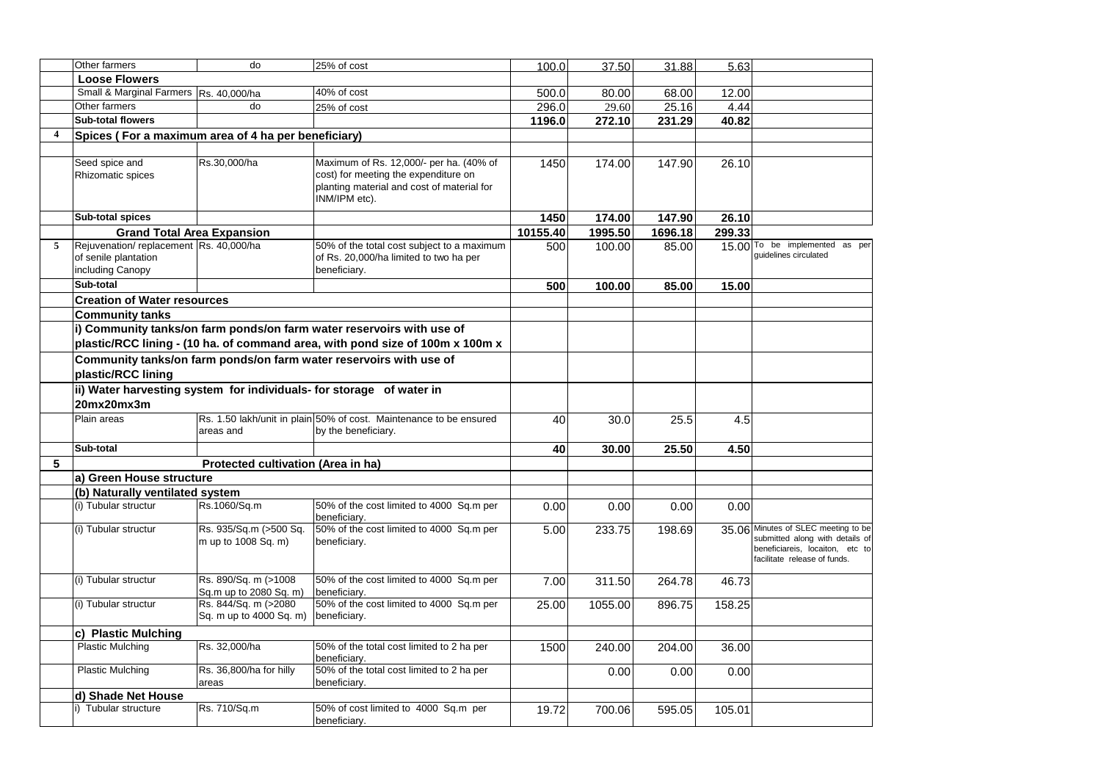|                | Other farmers                                       | do                                 | 25% of cost                                                                   | 100.0    | 37.50   | 31.88   | 5.63   |                                     |
|----------------|-----------------------------------------------------|------------------------------------|-------------------------------------------------------------------------------|----------|---------|---------|--------|-------------------------------------|
|                | <b>Loose Flowers</b>                                |                                    |                                                                               |          |         |         |        |                                     |
|                | Small & Marginal Farmers Rs. 40,000/ha              |                                    | 40% of cost                                                                   | 500.0    | 80.00   | 68.00   | 12.00  |                                     |
|                | Other farmers                                       | do                                 | 25% of cost                                                                   | 296.0    | 29.60   | 25.16   | 4.44   |                                     |
|                | Sub-total flowers                                   |                                    |                                                                               | 1196.0   | 272.10  | 231.29  | 40.82  |                                     |
| $\overline{4}$ | Spices (For a maximum area of 4 ha per beneficiary) |                                    |                                                                               |          |         |         |        |                                     |
|                |                                                     |                                    |                                                                               |          |         |         |        |                                     |
|                | Seed spice and                                      | Rs.30,000/ha                       | Maximum of Rs. 12,000/- per ha. (40% of                                       | 1450     | 174.00  | 147.90  | 26.10  |                                     |
|                | Rhizomatic spices                                   |                                    | cost) for meeting the expenditure on                                          |          |         |         |        |                                     |
|                |                                                     |                                    | planting material and cost of material for                                    |          |         |         |        |                                     |
|                |                                                     |                                    | INM/IPM etc).                                                                 |          |         |         |        |                                     |
|                | Sub-total spices                                    |                                    |                                                                               | 1450     | 174.00  | 147.90  | 26.10  |                                     |
|                | <b>Grand Total Area Expansion</b>                   |                                    |                                                                               | 10155.40 | 1995.50 | 1696.18 | 299.33 |                                     |
| 5              | Rejuvenation/replacement Rs. 40,000/ha              |                                    | 50% of the total cost subject to a maximum                                    | 500      | 100.00  | 85.00   |        | 15.00 To be implemented as per      |
|                | of senile plantation                                |                                    | of Rs. 20,000/ha limited to two ha per                                        |          |         |         |        | quidelines circulated               |
|                | including Canopy                                    |                                    | beneficiary.                                                                  |          |         |         |        |                                     |
|                | Sub-total                                           |                                    |                                                                               | 500      | 100.00  | 85.00   | 15.00  |                                     |
|                | <b>Creation of Water resources</b>                  |                                    |                                                                               |          |         |         |        |                                     |
|                | <b>Community tanks</b>                              |                                    |                                                                               |          |         |         |        |                                     |
|                |                                                     |                                    | i) Community tanks/on farm ponds/on farm water reservoirs with use of         |          |         |         |        |                                     |
|                |                                                     |                                    |                                                                               |          |         |         |        |                                     |
|                |                                                     |                                    | plastic/RCC lining - (10 ha. of command area, with pond size of 100m x 100m x |          |         |         |        |                                     |
|                |                                                     |                                    | Community tanks/on farm ponds/on farm water reservoirs with use of            |          |         |         |        |                                     |
|                | plastic/RCC lining                                  |                                    |                                                                               |          |         |         |        |                                     |
|                |                                                     |                                    | ii) Water harvesting system for individuals- for storage of water in          |          |         |         |        |                                     |
|                | 20mx20mx3m                                          |                                    |                                                                               |          |         |         |        |                                     |
|                | Plain areas                                         |                                    | Rs. 1.50 lakh/unit in plain 50% of cost. Maintenance to be ensured            | 40       | 30.0    | 25.5    | 4.5    |                                     |
|                |                                                     | areas and                          | by the beneficiary.                                                           |          |         |         |        |                                     |
|                | Sub-total                                           |                                    |                                                                               | 40       | 30.00   | 25.50   | 4.50   |                                     |
| 5              |                                                     | Protected cultivation (Area in ha) |                                                                               |          |         |         |        |                                     |
|                |                                                     |                                    |                                                                               |          |         |         |        |                                     |
|                | a) Green House structure                            |                                    |                                                                               |          |         |         |        |                                     |
|                | (b) Naturally ventilated system                     |                                    |                                                                               |          |         |         |        |                                     |
|                | (i) Tubular structur                                | Rs.1060/Sq.m                       | 50% of the cost limited to 4000 Sq.m per<br>beneficiary.                      | 0.00     | 0.00    | 0.00    | 0.00   |                                     |
|                | (i) Tubular structur                                | Rs. 935/Sq.m (>500 Sq.             | 50% of the cost limited to 4000 Sq.m per                                      | 5.00     | 233.75  | 198.69  |        | 35.06 Minutes of SLEC meeting to be |
|                |                                                     | m up to 1008 Sq. m)                | beneficiary.                                                                  |          |         |         |        | submitted along with details of     |
|                |                                                     |                                    |                                                                               |          |         |         |        | beneficiareis, locaiton, etc to     |
|                |                                                     |                                    |                                                                               |          |         |         |        | facilitate release of funds.        |
|                | (i) Tubular structur                                | Rs. 890/Sq. m (>1008               | 50% of the cost limited to 4000 Sq.m per                                      | 7.00     | 311.50  | 264.78  | 46.73  |                                     |
|                |                                                     | Sq.m up to 2080 Sq. m)             | beneficiary.                                                                  |          |         |         |        |                                     |
|                | (i) Tubular structur                                | Rs. 844/Sq. m (>2080               | 50% of the cost limited to 4000 Sq.m per                                      | 25.00    | 1055.00 | 896.75  | 158.25 |                                     |
|                |                                                     | Sq. m up to 4000 Sq. m)            | beneficiary.                                                                  |          |         |         |        |                                     |
|                | c) Plastic Mulching                                 |                                    |                                                                               |          |         |         |        |                                     |
|                | <b>Plastic Mulching</b>                             | Rs. 32,000/ha                      | 50% of the total cost limited to 2 ha per                                     | 1500     | 240.00  | 204.00  | 36.00  |                                     |
|                |                                                     |                                    | beneficiary.                                                                  |          |         |         |        |                                     |
|                | <b>Plastic Mulching</b>                             | Rs. 36,800/ha for hilly            | 50% of the total cost limited to 2 ha per                                     |          | 0.00    | 0.00    | 0.00   |                                     |
|                |                                                     | areas                              | beneficiary.                                                                  |          |         |         |        |                                     |
|                | d) Shade Net House                                  |                                    |                                                                               |          |         |         |        |                                     |
|                | i) Tubular structure                                | Rs. 710/Sq.m                       | 50% of cost limited to 4000 Sq.m per                                          | 19.72    | 700.06  | 595.05  | 105.01 |                                     |
|                |                                                     |                                    | beneficiary.                                                                  |          |         |         |        |                                     |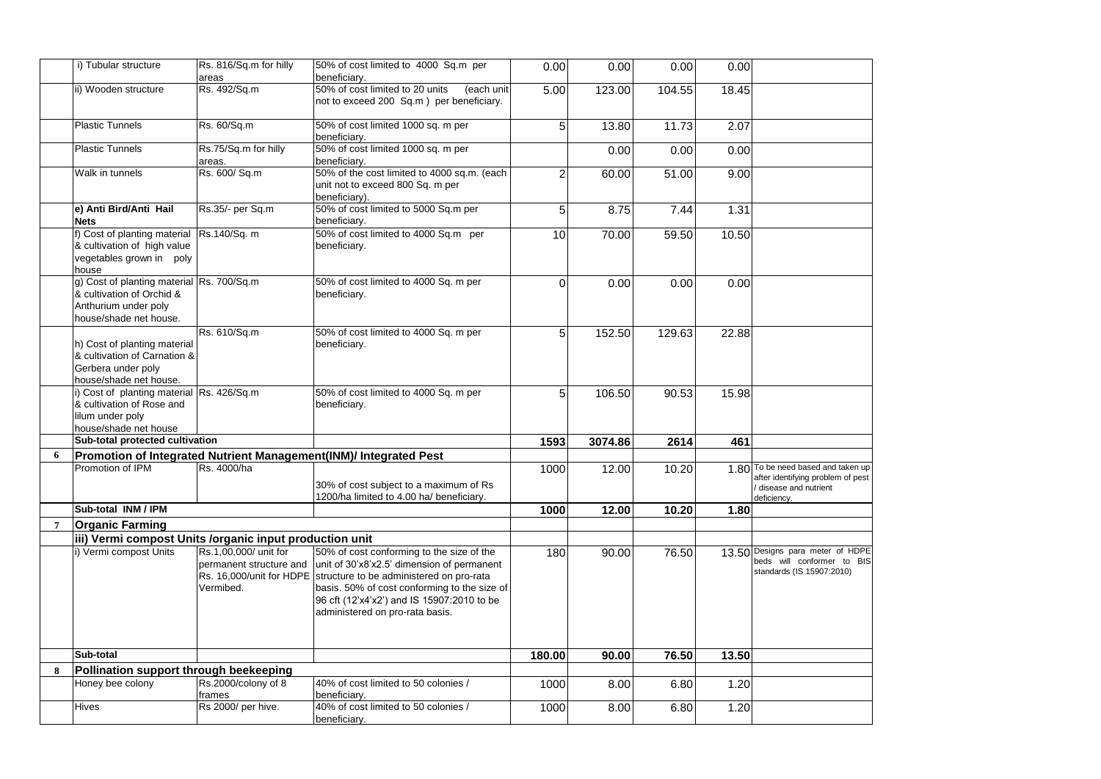|                | i) Tubular structure                                                                                                     | Rs. 816/Sq.m for hilly<br>areas                               | 50% of cost limited to 4000 Sq.m per<br>beneficiary.                                                                                                                                                                                                                                          | 0.00   | 0.00    | 0.00   | 0.00  |                                                                                                                |
|----------------|--------------------------------------------------------------------------------------------------------------------------|---------------------------------------------------------------|-----------------------------------------------------------------------------------------------------------------------------------------------------------------------------------------------------------------------------------------------------------------------------------------------|--------|---------|--------|-------|----------------------------------------------------------------------------------------------------------------|
|                | ii) Wooden structure                                                                                                     | Rs. 492/Sq.m                                                  | 50% of cost limited to 20 units<br>(each unit<br>not to exceed 200 Sq.m ) per beneficiary.                                                                                                                                                                                                    | 5.00   | 123.00  | 104.55 | 18.45 |                                                                                                                |
|                | <b>Plastic Tunnels</b>                                                                                                   | Rs. 60/Sq.m                                                   | 50% of cost limited 1000 sq. m per<br>beneficiary.                                                                                                                                                                                                                                            | 5      | 13.80   | 11.73  | 2.07  |                                                                                                                |
|                | <b>Plastic Tunnels</b>                                                                                                   | Rs.75/Sq.m for hilly<br>areas.                                | 50% of cost limited 1000 sq. m per<br>beneficiarv.                                                                                                                                                                                                                                            |        | 0.00    | 0.00   | 0.00  |                                                                                                                |
|                | Walk in tunnels                                                                                                          | Rs. 600/ Sq.m                                                 | 50% of the cost limited to 4000 sq.m. (each<br>unit not to exceed 800 Sq. m per<br>beneficiary).                                                                                                                                                                                              | 2      | 60.00   | 51.00  | 9.00  |                                                                                                                |
|                | e) Anti Bird/Anti Hail<br><b>Nets</b>                                                                                    | Rs.35/- per Sq.m                                              | 50% of cost limited to 5000 Sq.m per<br>beneficiary.                                                                                                                                                                                                                                          | 5      | 8.75    | 7.44   | 1.31  |                                                                                                                |
|                | f) Cost of planting material<br>& cultivation of high value<br>vegetables grown in poly<br>house                         | Rs.140/Sq. m                                                  | 50% of cost limited to 4000 Sq.m per<br>beneficiary.                                                                                                                                                                                                                                          | 10     | 70.00   | 59.50  | 10.50 |                                                                                                                |
|                | g) Cost of planting material Rs. 700/Sq.m<br>& cultivation of Orchid &<br>Anthurium under poly<br>house/shade net house. |                                                               | 50% of cost limited to 4000 Sq. m per<br>beneficiary.                                                                                                                                                                                                                                         | 0      | 0.00    | 0.00   | 0.00  |                                                                                                                |
|                | h) Cost of planting material<br>& cultivation of Carnation &<br>Gerbera under poly<br>house/shade net house.             | Rs. 610/Sq.m                                                  | 50% of cost limited to 4000 Sq. m per<br>beneficiary.                                                                                                                                                                                                                                         | 5      | 152.50  | 129.63 | 22.88 |                                                                                                                |
|                | i) Cost of planting material Rs. 426/Sq.m<br>& cultivation of Rose and<br>lilum under poly<br>house/shade net house      |                                                               | 50% of cost limited to 4000 Sq. m per<br>beneficiary.                                                                                                                                                                                                                                         | 5      | 106.50  | 90.53  | 15.98 |                                                                                                                |
|                | Sub-total protected cultivation                                                                                          |                                                               |                                                                                                                                                                                                                                                                                               | 1593   | 3074.86 | 2614   | 461   |                                                                                                                |
| 6              |                                                                                                                          |                                                               | Promotion of Integrated Nutrient Management(INM)/ Integrated Pest                                                                                                                                                                                                                             |        |         |        |       |                                                                                                                |
|                | Promotion of IPM                                                                                                         | Rs. 4000/ha                                                   | 30% of cost subject to a maximum of Rs<br>1200/ha limited to 4.00 ha/ beneficiary.                                                                                                                                                                                                            | 1000   | 12.00   | 10.20  |       | 1.80 To be need based and taken up<br>after identifying problem of pest<br>disease and nutrient<br>deficiency. |
|                | Sub-total INM / IPM                                                                                                      |                                                               |                                                                                                                                                                                                                                                                                               | 1000   | 12.00   | 10.20  | 1.80  |                                                                                                                |
| $\overline{7}$ | <b>Organic Farming</b>                                                                                                   |                                                               |                                                                                                                                                                                                                                                                                               |        |         |        |       |                                                                                                                |
|                | iii) Vermi compost Units /organic input production unit                                                                  |                                                               |                                                                                                                                                                                                                                                                                               |        |         |        |       |                                                                                                                |
|                | i) Vermi compost Units                                                                                                   | Rs.1,00,000/ unit for<br>permanent structure and<br>Vermibed. | 50% of cost conforming to the size of the<br>unit of 30'x8'x2.5' dimension of permanent<br>Rs. 16,000/unit for HDPE structure to be administered on pro-rata<br>basis. 50% of cost conforming to the size of<br>96 cft (12'x4'x2') and IS 15907:2010 to be<br>administered on pro-rata basis. | 180    | 90.00   | 76.50  |       | 13.50 Designs para meter of HDPE<br>beds will conformer to BIS<br>standards (IS 15907:2010)                    |
|                | Sub-total                                                                                                                |                                                               |                                                                                                                                                                                                                                                                                               | 180.00 | 90.00   | 76.50  | 13.50 |                                                                                                                |
| 8              | Pollination support through beekeeping                                                                                   |                                                               |                                                                                                                                                                                                                                                                                               |        |         |        |       |                                                                                                                |
|                | Honey bee colony                                                                                                         | Rs.2000/colony of 8<br>frames                                 | 40% of cost limited to 50 colonies /<br>beneficiary.                                                                                                                                                                                                                                          | 1000   | 8.00    | 6.80   | 1.20  |                                                                                                                |
|                | Hives                                                                                                                    | Rs 2000/ per hive.                                            | 40% of cost limited to 50 colonies /<br>beneficiary.                                                                                                                                                                                                                                          | 1000   | 8.00    | 6.80   | 1.20  |                                                                                                                |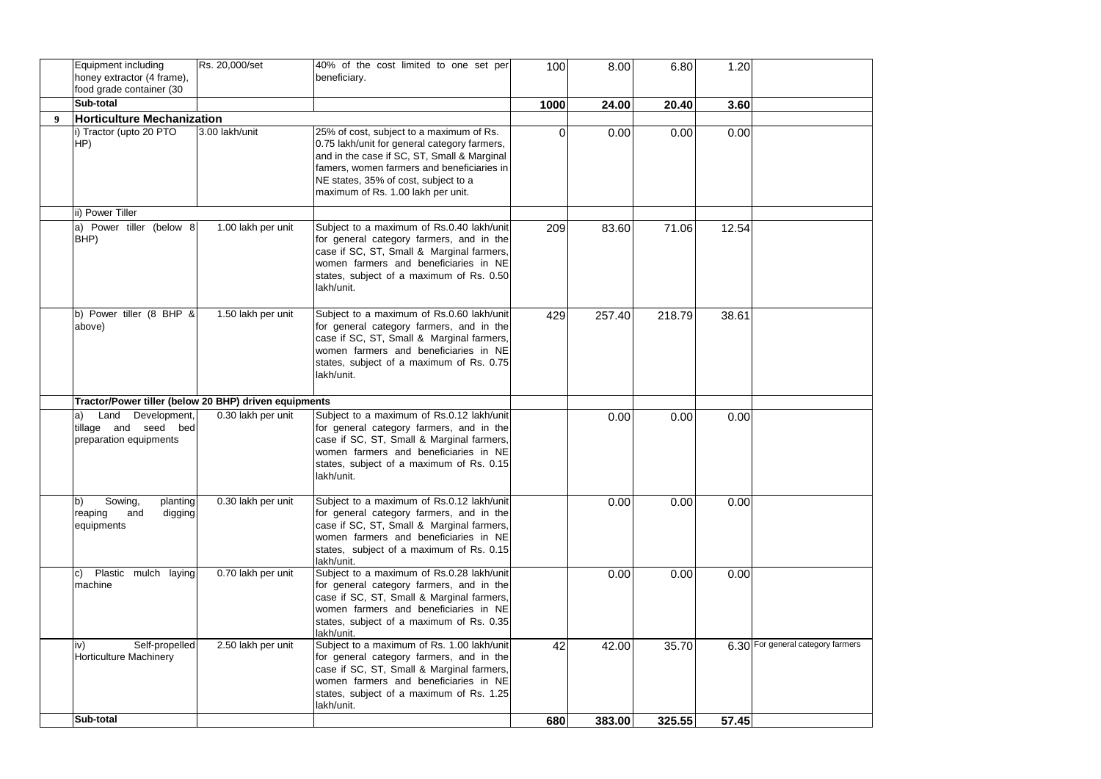|                  | <b>Equipment including</b><br>honey extractor (4 frame),<br>food grade container (30 | Rs. 20,000/set     | 40% of the cost limited to one set per<br>beneficiary.                                                                                                                                                                                                              | 100  | 8.00   | 6.80   | 1.20  |                                   |
|------------------|--------------------------------------------------------------------------------------|--------------------|---------------------------------------------------------------------------------------------------------------------------------------------------------------------------------------------------------------------------------------------------------------------|------|--------|--------|-------|-----------------------------------|
|                  | Sub-total                                                                            |                    |                                                                                                                                                                                                                                                                     | 1000 | 24.00  | 20.40  | 3.60  |                                   |
| $\boldsymbol{Q}$ | <b>Horticulture Mechanization</b>                                                    |                    |                                                                                                                                                                                                                                                                     |      |        |        |       |                                   |
|                  | i) Tractor (upto 20 PTO<br>HP)                                                       | 3.00 lakh/unit     | 25% of cost, subject to a maximum of Rs.<br>0.75 lakh/unit for general category farmers,<br>and in the case if SC, ST, Small & Marginal<br>famers, women farmers and beneficiaries in<br>NE states, 35% of cost, subject to a<br>maximum of Rs. 1.00 lakh per unit. | 0    | 0.00   | 0.00   | 0.00  |                                   |
|                  | ii) Power Tiller                                                                     |                    |                                                                                                                                                                                                                                                                     |      |        |        |       |                                   |
|                  | a) Power tiller (below 8<br>BHP)                                                     | 1.00 lakh per unit | Subject to a maximum of Rs.0.40 lakh/unit<br>for general category farmers, and in the<br>case if SC, ST, Small & Marginal farmers,<br>women farmers and beneficiaries in NE<br>states, subject of a maximum of Rs. 0.50<br>lakh/unit.                               | 209  | 83.60  | 71.06  | 12.54 |                                   |
|                  | b) Power tiller (8 BHP &<br>above)                                                   | 1.50 lakh per unit | Subject to a maximum of Rs.0.60 lakh/unit<br>for general category farmers, and in the<br>case if SC, ST, Small & Marginal farmers,<br>women farmers and beneficiaries in NE<br>states, subject of a maximum of Rs. 0.75<br>lakh/unit.                               | 429  | 257.40 | 218.79 | 38.61 |                                   |
|                  | Tractor/Power tiller (below 20 BHP) driven equipments                                |                    |                                                                                                                                                                                                                                                                     |      |        |        |       |                                   |
|                  | Land Development,<br>a)<br>tillage and seed bed<br>preparation equipments            | 0.30 lakh per unit | Subject to a maximum of Rs.0.12 lakh/unit<br>for general category farmers, and in the<br>case if SC, ST, Small & Marginal farmers,<br>women farmers and beneficiaries in NE<br>states, subject of a maximum of Rs. 0.15<br>lakh/unit.                               |      | 0.00   | 0.00   | 0.00  |                                   |
|                  | Sowing,<br>b)<br>planting<br>reaping<br>and<br>digging<br>equipments                 | 0.30 lakh per unit | Subject to a maximum of Rs.0.12 lakh/unit<br>for general category farmers, and in the<br>case if SC, ST, Small & Marginal farmers,<br>women farmers and beneficiaries in NE<br>states, subject of a maximum of Rs. 0.15<br>lakh/unit.                               |      | 0.00   | 0.00   | 0.00  |                                   |
|                  | Plastic mulch laying<br>c)<br>machine                                                | 0.70 lakh per unit | Subject to a maximum of Rs.0.28 lakh/unit<br>for general category farmers, and in the<br>case if SC, ST, Small & Marginal farmers,<br>women farmers and beneficiaries in NE<br>states, subject of a maximum of Rs. 0.35<br>lakh/unit.                               |      | 0.00   | 0.00   | 0.00  |                                   |
|                  | Self-propelled<br>iv)<br><b>Horticulture Machinery</b>                               | 2.50 lakh per unit | Subject to a maximum of Rs. 1.00 lakh/unit<br>for general category farmers, and in the<br>case if SC, ST, Small & Marginal farmers,<br>women farmers and beneficiaries in NE<br>states, subject of a maximum of Rs. 1.25<br>lakh/unit.                              | 42   | 42.00  | 35.70  |       | 6.30 For general category farmers |
|                  | Sub-total                                                                            |                    |                                                                                                                                                                                                                                                                     | 680  | 383.00 | 325.55 | 57.45 |                                   |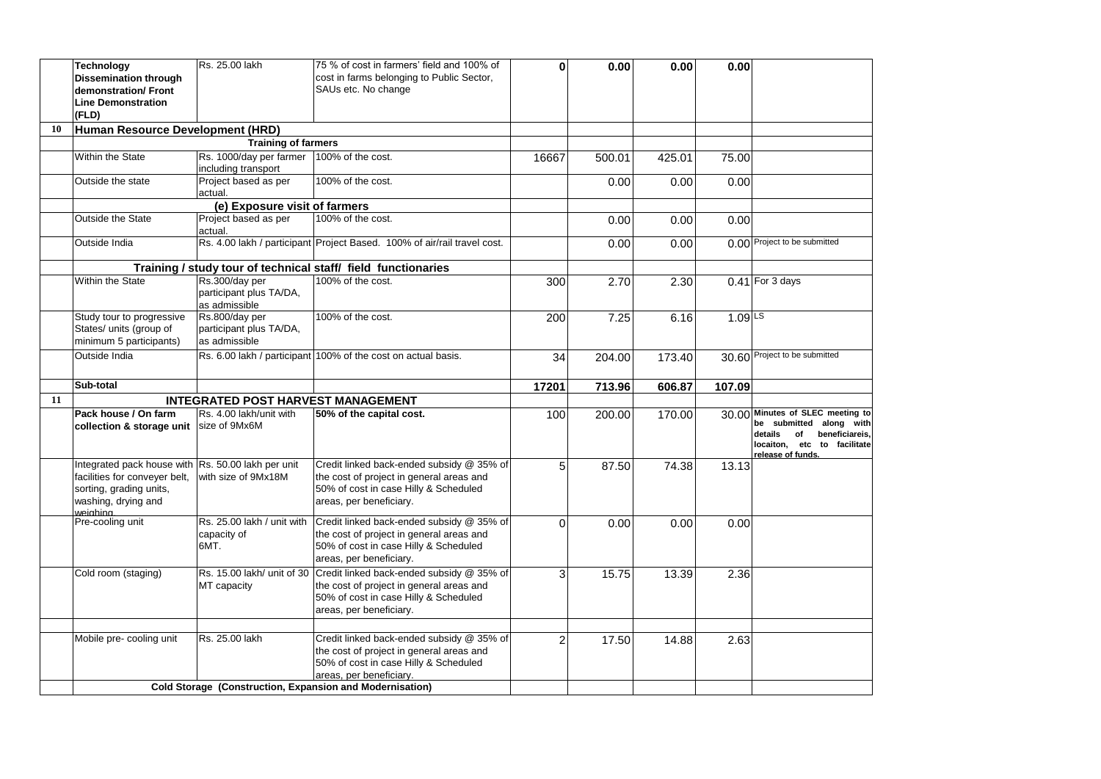|    | <b>Technology</b><br><b>Dissemination through</b><br>demonstration/ Front<br><b>Line Demonstration</b><br>(FLD)                                    | Rs. 25.00 lakh                                             | 75 % of cost in farmers' field and 100% of<br>cost in farms belonging to Public Sector,<br>SAUs etc. No change                                                                                                        | 0              | 0.00   | 0.00   | 0.00                 |                                                                                                                                                    |
|----|----------------------------------------------------------------------------------------------------------------------------------------------------|------------------------------------------------------------|-----------------------------------------------------------------------------------------------------------------------------------------------------------------------------------------------------------------------|----------------|--------|--------|----------------------|----------------------------------------------------------------------------------------------------------------------------------------------------|
| 10 | Human Resource Development (HRD)                                                                                                                   |                                                            |                                                                                                                                                                                                                       |                |        |        |                      |                                                                                                                                                    |
|    |                                                                                                                                                    | <b>Training of farmers</b>                                 |                                                                                                                                                                                                                       |                |        |        |                      |                                                                                                                                                    |
|    | Within the State                                                                                                                                   | Rs. 1000/day per farmer<br>including transport             | 100% of the cost.                                                                                                                                                                                                     | 16667          | 500.01 | 425.01 | 75.00                |                                                                                                                                                    |
|    | Outside the state                                                                                                                                  | Project based as per<br>actual.                            | 100% of the cost.                                                                                                                                                                                                     |                | 0.00   | 0.00   | 0.00                 |                                                                                                                                                    |
|    |                                                                                                                                                    | (e) Exposure visit of farmers                              |                                                                                                                                                                                                                       |                |        |        |                      |                                                                                                                                                    |
|    | Outside the State                                                                                                                                  | Project based as per<br>actual.                            | 100% of the cost.                                                                                                                                                                                                     |                | 0.00   | 0.00   | 0.00                 |                                                                                                                                                    |
|    | Outside India                                                                                                                                      |                                                            | Rs. 4.00 lakh / participant Project Based. 100% of air/rail travel cost.                                                                                                                                              |                | 0.00   | 0.00   |                      | 0.00 Project to be submitted                                                                                                                       |
|    |                                                                                                                                                    |                                                            | Training / study tour of technical staff/ field functionaries                                                                                                                                                         |                |        |        |                      |                                                                                                                                                    |
|    | Within the State                                                                                                                                   | Rs.300/day per<br>participant plus TA/DA,<br>as admissible | 100% of the cost.                                                                                                                                                                                                     | 300            | 2.70   | 2.30   |                      | 0.41 For 3 days                                                                                                                                    |
|    | Study tour to progressive<br>States/ units (group of<br>minimum 5 participants)                                                                    | Rs.800/day per<br>participant plus TA/DA,<br>as admissible | 100% of the cost.                                                                                                                                                                                                     | 200            | 7.25   | 6.16   | $1.09$ <sup>LS</sup> |                                                                                                                                                    |
|    | Outside India                                                                                                                                      |                                                            | Rs. 6.00 lakh / participant 100% of the cost on actual basis.                                                                                                                                                         | 34             | 204.00 | 173.40 |                      | 30.60 Project to be submitted                                                                                                                      |
|    | Sub-total                                                                                                                                          |                                                            |                                                                                                                                                                                                                       | 17201          | 713.96 | 606.87 | 107.09               |                                                                                                                                                    |
| 11 |                                                                                                                                                    | INTEGRATED POST HARVEST MANAGEMENT                         |                                                                                                                                                                                                                       |                |        |        |                      |                                                                                                                                                    |
|    | Pack house / On farm<br>collection & storage unit                                                                                                  | Rs. 4.00 lakh/unit with<br>size of 9Mx6M                   | 50% of the capital cost.                                                                                                                                                                                              | 100            | 200.00 | 170.00 |                      | 30.00 Minutes of SLEC meeting to<br>be submitted along with<br>details<br>beneficiareis,<br>of<br>locaiton, etc to facilitate<br>release of funds. |
|    | Integrated pack house with Rs. 50.00 lakh per unit<br>facilities for conveyer belt,<br>sorting, grading units,<br>washing, drying and<br>weiahina. | with size of 9Mx18M                                        | Credit linked back-ended subsidy @ 35% of<br>the cost of project in general areas and<br>50% of cost in case Hilly & Scheduled<br>areas, per beneficiary.                                                             | 5              | 87.50  | 74.38  | 13.13                |                                                                                                                                                    |
|    | Pre-cooling unit                                                                                                                                   | Rs. 25.00 lakh / unit with<br>capacity of                  | Credit linked back-ended subsidy @ 35% of<br>the cost of project in general areas and                                                                                                                                 | 0              | 0.00   | 0.00   | 0.00                 |                                                                                                                                                    |
|    |                                                                                                                                                    | 6MT.                                                       | 50% of cost in case Hilly & Scheduled<br>areas, per beneficiary.                                                                                                                                                      |                |        |        |                      |                                                                                                                                                    |
|    | Cold room (staging)                                                                                                                                | Rs. 15.00 lakh/ unit of 30<br>MT capacity                  | Credit linked back-ended subsidy @ 35% of<br>the cost of project in general areas and<br>50% of cost in case Hilly & Scheduled<br>areas, per beneficiary.                                                             | 3              | 15.75  | 13.39  | 2.36                 |                                                                                                                                                    |
|    | Mobile pre- cooling unit                                                                                                                           | Rs. 25.00 lakh                                             | Credit linked back-ended subsidy @ 35% of<br>the cost of project in general areas and<br>50% of cost in case Hilly & Scheduled<br>areas, per beneficiary.<br>Cold Storage (Construction, Expansion and Modernisation) | $\overline{2}$ | 17.50  | 14.88  | 2.63                 |                                                                                                                                                    |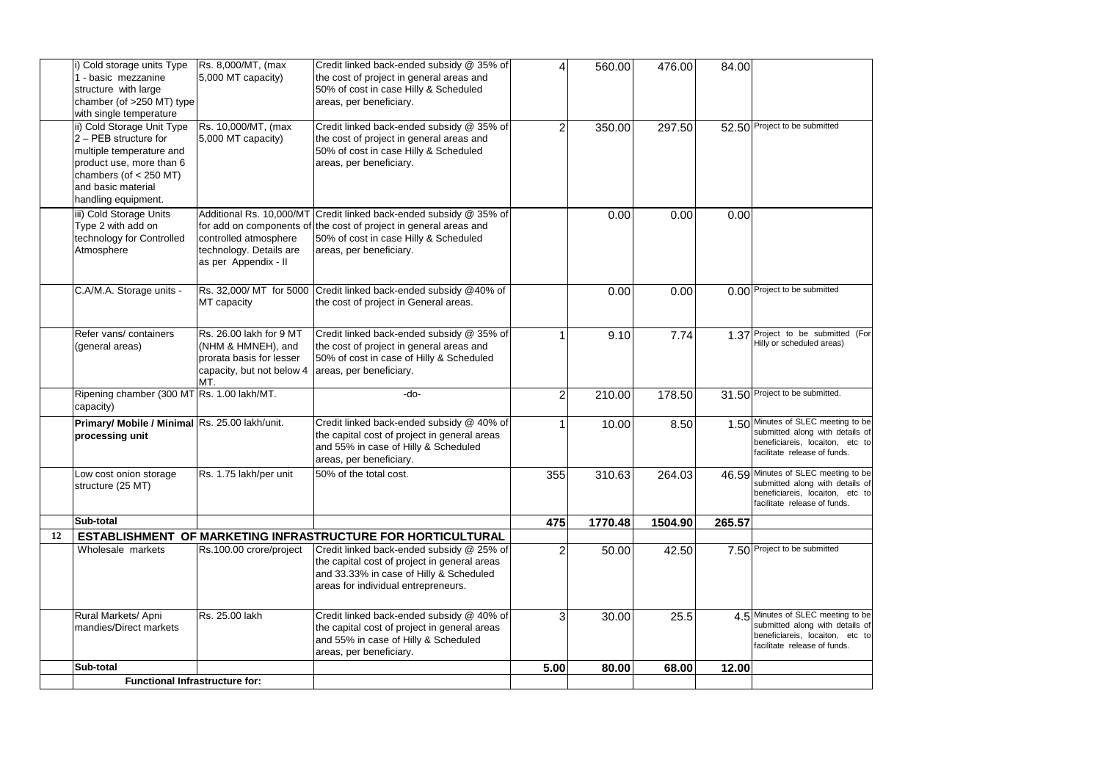|    | i) Cold storage units Type<br>1 - basic mezzanine<br>structure with large<br>chamber (of >250 MT) type<br>with single temperature                                                    | Rs. 8,000/MT, (max<br>5,000 MT capacity)                                                                                         | Credit linked back-ended subsidy @ 35% of<br>the cost of project in general areas and<br>50% of cost in case Hilly & Scheduled<br>areas, per beneficiary.                   | 4                       | 560.00  | 476.00  | 84.00  |                                                                                                                                           |
|----|--------------------------------------------------------------------------------------------------------------------------------------------------------------------------------------|----------------------------------------------------------------------------------------------------------------------------------|-----------------------------------------------------------------------------------------------------------------------------------------------------------------------------|-------------------------|---------|---------|--------|-------------------------------------------------------------------------------------------------------------------------------------------|
|    | ii) Cold Storage Unit Type<br>2 - PEB structure for<br>multiple temperature and<br>product use, more than 6<br>chambers (of $<$ 250 MT)<br>and basic material<br>handling equipment. | Rs. 10,000/MT, (max<br>5,000 MT capacity)                                                                                        | Credit linked back-ended subsidy @ 35% of<br>the cost of project in general areas and<br>50% of cost in case Hilly & Scheduled<br>areas, per beneficiary.                   | 2                       | 350.00  | 297.50  |        | 52.50 Project to be submitted                                                                                                             |
|    | iii) Cold Storage Units<br>Type 2 with add on<br>technology for Controlled<br>Atmosphere                                                                                             | Additional Rs. 10,000/MT<br>for add on components of<br>controlled atmosphere<br>technology. Details are<br>as per Appendix - II | Credit linked back-ended subsidy @ 35% of<br>the cost of project in general areas and<br>50% of cost in case Hilly & Scheduled<br>areas, per beneficiary.                   |                         | 0.00    | 0.00    | 0.00   |                                                                                                                                           |
|    | C.A/M.A. Storage units -                                                                                                                                                             | Rs. 32,000/ MT for 5000<br>MT capacity                                                                                           | Credit linked back-ended subsidy @40% of<br>the cost of project in General areas.                                                                                           |                         | 0.00    | 0.00    |        | 0.00 Project to be submitted                                                                                                              |
|    | Refer vans/containers<br>(general areas)                                                                                                                                             | Rs. 26.00 lakh for 9 MT<br>(NHM & HMNEH), and<br>prorata basis for lesser<br>capacity, but not below 4<br>MT.                    | Credit linked back-ended subsidy @ 35% of<br>the cost of project in general areas and<br>50% of cost in case of Hilly & Scheduled<br>areas, per beneficiary.                |                         | 9.10    | 7.74    |        | 1.37 Project to be submitted (For<br>Hilly or scheduled areas)                                                                            |
|    | Ripening chamber (300 MT Rs. 1.00 lakh/MT.<br>capacity)                                                                                                                              |                                                                                                                                  | -do-                                                                                                                                                                        | $\overline{\mathbf{c}}$ | 210.00  | 178.50  |        | 31.50 Project to be submitted.                                                                                                            |
|    | Primary/ Mobile / Minimal Rs. 25.00 lakh/unit.<br>processing unit                                                                                                                    |                                                                                                                                  | Credit linked back-ended subsidy @ 40% of<br>the capital cost of project in general areas<br>and 55% in case of Hilly & Scheduled<br>areas, per beneficiary.                |                         | 10.00   | 8.50    |        | 1.50 Minutes of SLEC meeting to be<br>submitted along with details of<br>beneficiareis, locaiton, etc to<br>facilitate release of funds.  |
|    | Low cost onion storage<br>structure (25 MT)                                                                                                                                          | Rs. 1.75 lakh/per unit                                                                                                           | 50% of the total cost.                                                                                                                                                      | 355                     | 310.63  | 264.03  |        | 46.59 Minutes of SLEC meeting to be<br>submitted along with details of<br>beneficiareis, locaiton, etc to<br>facilitate release of funds. |
|    | Sub-total                                                                                                                                                                            |                                                                                                                                  |                                                                                                                                                                             | 475                     | 1770.48 | 1504.90 | 265.57 |                                                                                                                                           |
| 12 |                                                                                                                                                                                      |                                                                                                                                  | ESTABLISHMENT OF MARKETING INFRASTRUCTURE FOR HORTICULTURAL                                                                                                                 |                         |         |         |        |                                                                                                                                           |
|    | Wholesale markets                                                                                                                                                                    | Rs.100.00 crore/project                                                                                                          | Credit linked back-ended subsidy @ 25% of<br>the capital cost of project in general areas<br>and 33.33% in case of Hilly & Scheduled<br>areas for individual entrepreneurs. | 2                       | 50.00   | 42.50   |        | 7.50 Project to be submitted                                                                                                              |
|    | Rural Markets/ Apni<br>mandies/Direct markets                                                                                                                                        | Rs. 25.00 lakh                                                                                                                   | Credit linked back-ended subsidy @ 40% of<br>the capital cost of project in general areas<br>and 55% in case of Hilly & Scheduled<br>areas, per beneficiary.                | 3                       | 30.00   | 25.5    |        | 4.5 Minutes of SLEC meeting to be<br>submitted along with details of<br>beneficiareis, locaiton, etc to<br>facilitate release of funds.   |
|    | Sub-total                                                                                                                                                                            |                                                                                                                                  |                                                                                                                                                                             | 5.00                    | 80.00   | 68.00   | 12.00  |                                                                                                                                           |
|    | <b>Functional Infrastructure for:</b>                                                                                                                                                |                                                                                                                                  |                                                                                                                                                                             |                         |         |         |        |                                                                                                                                           |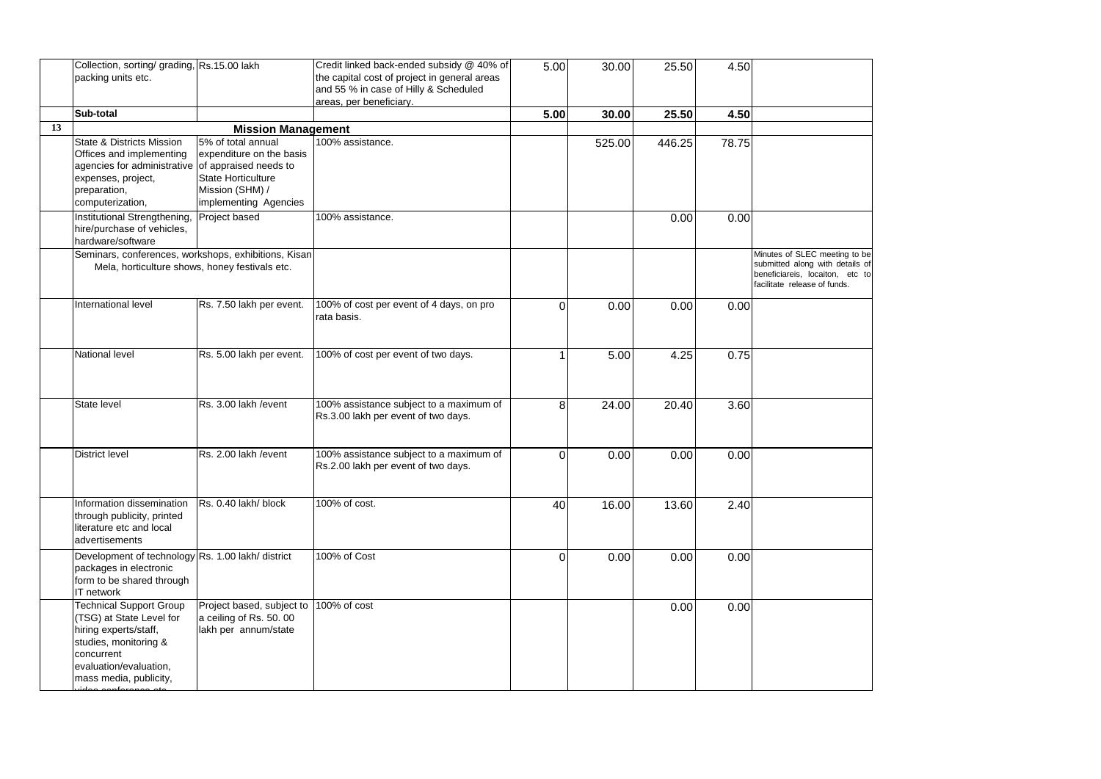|    | Collection, sorting/ grading, Rs.15.00 lakh<br>packing units etc.                                                                                                               |                                                                                                                         | Credit linked back-ended subsidy @ 40% of<br>the capital cost of project in general areas<br>and 55 % in case of Hilly & Scheduled | 5.00     | 30.00  | 25.50  | 4.50  |                                                                                                                                     |
|----|---------------------------------------------------------------------------------------------------------------------------------------------------------------------------------|-------------------------------------------------------------------------------------------------------------------------|------------------------------------------------------------------------------------------------------------------------------------|----------|--------|--------|-------|-------------------------------------------------------------------------------------------------------------------------------------|
|    |                                                                                                                                                                                 |                                                                                                                         | areas, per beneficiary.                                                                                                            |          |        |        |       |                                                                                                                                     |
|    | Sub-total                                                                                                                                                                       |                                                                                                                         |                                                                                                                                    | 5.00     | 30.00  | 25.50  | 4.50  |                                                                                                                                     |
| 13 |                                                                                                                                                                                 | <b>Mission Management</b>                                                                                               |                                                                                                                                    |          |        |        |       |                                                                                                                                     |
|    | <b>State &amp; Districts Mission</b><br>Offices and implementing<br>agencies for administrative of appraised needs to<br>expenses, project,<br>preparation,<br>computerization, | 5% of total annual<br>expenditure on the basis<br><b>State Horticulture</b><br>Mission (SHM) /<br>implementing Agencies | 100% assistance.                                                                                                                   |          | 525.00 | 446.25 | 78.75 |                                                                                                                                     |
|    | Institutional Strengthening,<br>hire/purchase of vehicles,<br>hardware/software                                                                                                 | Project based                                                                                                           | 100% assistance.                                                                                                                   |          |        | 0.00   | 0.00  |                                                                                                                                     |
|    | Seminars, conferences, workshops, exhibitions, Kisan<br>Mela, horticulture shows, honey festivals etc.                                                                          |                                                                                                                         |                                                                                                                                    |          |        |        |       | Minutes of SLEC meeting to be<br>submitted along with details of<br>beneficiareis, locaiton, etc to<br>facilitate release of funds. |
|    | International level                                                                                                                                                             | Rs. 7.50 lakh per event.                                                                                                | 100% of cost per event of 4 days, on pro<br>rata basis.                                                                            | $\Omega$ | 0.00   | 0.00   | 0.00  |                                                                                                                                     |
|    | National level                                                                                                                                                                  | Rs. 5.00 lakh per event.                                                                                                | 100% of cost per event of two days.                                                                                                |          | 5.00   | 4.25   | 0.75  |                                                                                                                                     |
|    | State level                                                                                                                                                                     | Rs. 3.00 lakh / event                                                                                                   | 100% assistance subject to a maximum of<br>Rs.3.00 lakh per event of two days.                                                     | 8        | 24.00  | 20.40  | 3.60  |                                                                                                                                     |
|    | <b>District level</b>                                                                                                                                                           | Rs. 2.00 lakh / event                                                                                                   | 100% assistance subject to a maximum of<br>Rs.2.00 lakh per event of two days.                                                     | $\Omega$ | 0.00   | 0.00   | 0.00  |                                                                                                                                     |
|    | Information dissemination<br>through publicity, printed<br>literature etc and local<br>advertisements                                                                           | Rs. 0.40 lakh/ block                                                                                                    | 100% of cost.                                                                                                                      | 40       | 16.00  | 13.60  | 2.40  |                                                                                                                                     |
|    | Development of technology Rs. 1.00 lakh/ district<br>packages in electronic<br>form to be shared through<br>IT network                                                          |                                                                                                                         | 100% of Cost                                                                                                                       | $\Omega$ | 0.00   | 0.00   | 0.00  |                                                                                                                                     |
|    | <b>Technical Support Group</b><br>(TSG) at State Level for<br>hiring experts/staff,<br>studies, monitoring &<br>concurrent<br>evaluation/evaluation,<br>mass media, publicity,  | Project based, subject to<br>a ceiling of Rs. 50. 00<br>lakh per annum/state                                            | 100% of cost                                                                                                                       |          |        | 0.00   | 0.00  |                                                                                                                                     |